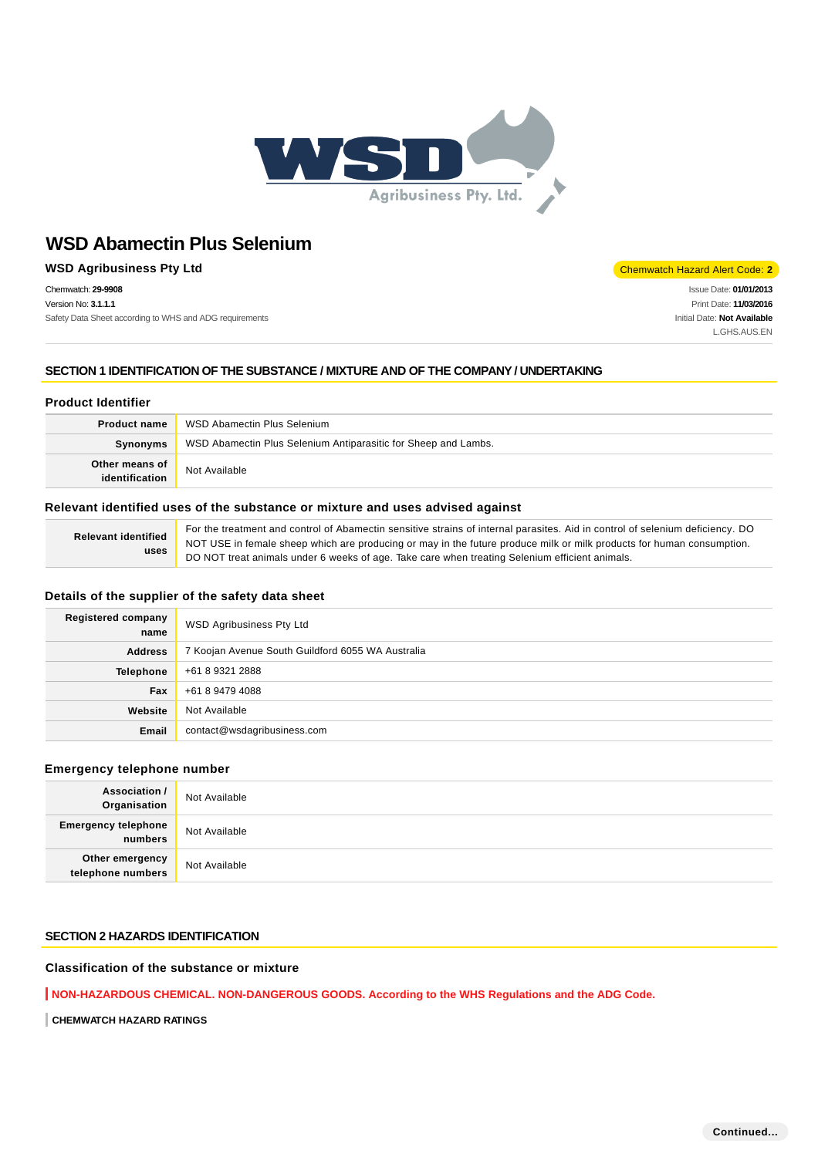

# **WSD Agribusiness Pty Ltd** Chemwatch Hazard Alert Code: 2

Chemwatch: **29-9908** Version No: **3.1.1.1** Safety Data Sheet according to WHS and ADG requirements

Issue Date: **01/01/2013** Print Date: **11/03/2016** Initial Date: **Not Available** L.GHS.AUS.EN

# **SECTION 1 IDENTIFICATION OF THE SUBSTANCE / MIXTURE AND OF THE COMPANY / UNDERTAKING**

# **Product Identifier**

| <b>Product name</b>              | WSD Abamectin Plus Selenium                                    |
|----------------------------------|----------------------------------------------------------------|
| Synonyms                         | WSD Abamectin Plus Selenium Antiparasitic for Sheep and Lambs. |
| Other means of<br>identification | Not Available                                                  |

#### **Relevant identified uses of the substance or mixture and uses advised against**

| <b>Relevant identified</b> | For the treatment and control of Abamectin sensitive strains of internal parasites. Aid in control of selenium deficiency. DO |
|----------------------------|-------------------------------------------------------------------------------------------------------------------------------|
|                            | NOT USE in female sheep which are producing or may in the future produce milk or milk products for human consumption.         |
| uses                       | DO NOT treat animals under 6 weeks of age. Take care when treating Selenium efficient animals.                                |

## **Details of the supplier of the safety data sheet**

| <b>Registered company</b><br>name | <b>WSD Agribusiness Pty Ltd</b>                   |
|-----------------------------------|---------------------------------------------------|
| <b>Address</b>                    | 7 Koojan Avenue South Guildford 6055 WA Australia |
| <b>Telephone</b>                  | +61 8 9321 2888                                   |
| Fax                               | +61 8 9479 4088                                   |
| Website                           | Not Available                                     |
| Email                             | contact@wsdagribusiness.com                       |

# **Emergency telephone number**

| <b>Association /</b><br>Organisation         | Not Available |
|----------------------------------------------|---------------|
| <b>Emergency telephone</b><br><b>numbers</b> | Not Available |
| Other emergency<br>telephone numbers         | Not Available |

# **SECTION 2 HAZARDS IDENTIFICATION**

### **Classification of the substance or mixture**

**NON-HAZARDOUS CHEMICAL. NON-DANGEROUS GOODS. According to the WHS Regulations and the ADG Code.**

**CHEMWATCH HAZARD RATINGS**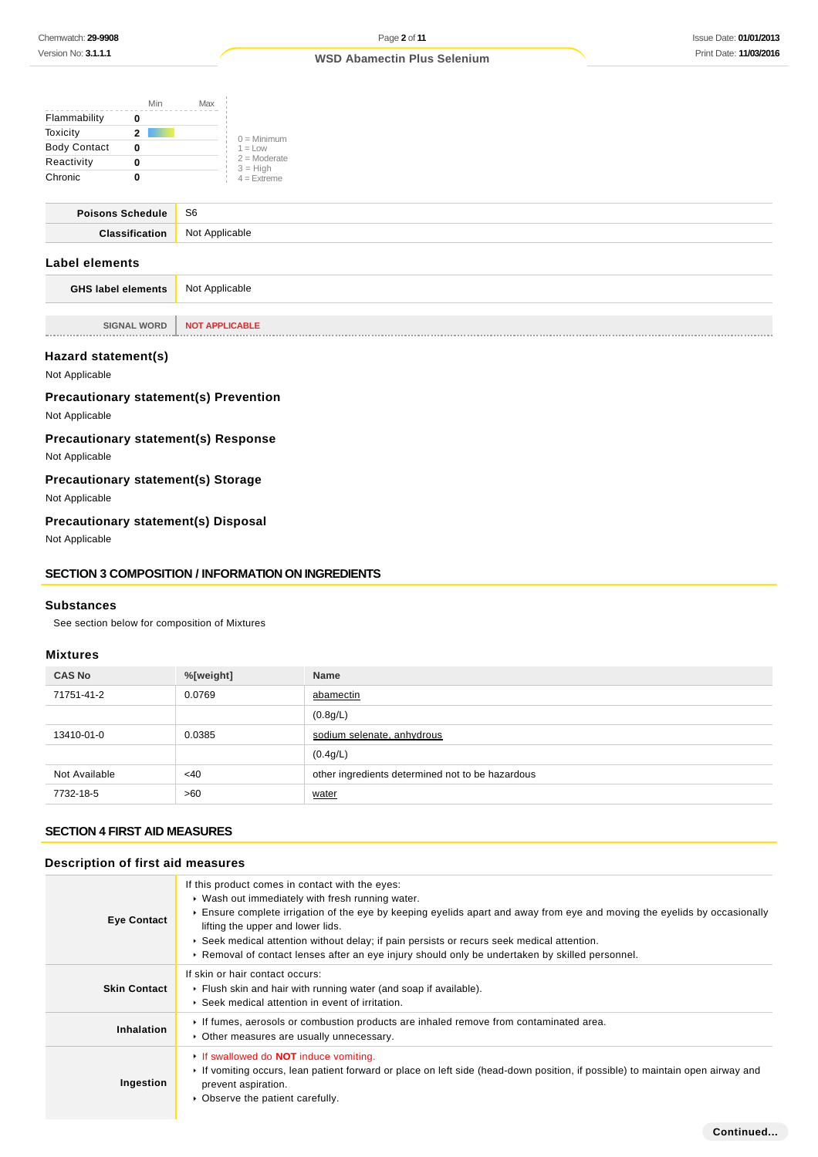|                     | Min | Max |                              |
|---------------------|-----|-----|------------------------------|
| Flammability        |     |     |                              |
| Toxicity            | 2   |     | $0 =$ Minimum                |
| <b>Body Contact</b> |     |     | $1 = 1$ OW                   |
| Reactivity          |     |     | $2 =$ Moderate<br>$3 = High$ |
| Chronic             |     |     | $4 =$ Extreme                |

| Poisons Schedule | S6             |
|------------------|----------------|
| $C$ locoific     | Not Annlicable |
|                  |                |

# **Label elements**

**GHS label elements** Not Applicable

**SIGNAL WORD NOT APPLICABLE**

### **Hazard statement(s)**

Not Applicable

# **Precautionary statement(s) Prevention**

Not Applicable

# **Precautionary statement(s) Response**

Not Applicable

# **Precautionary statement(s) Storage**

Not Applicable

# **Precautionary statement(s) Disposal**

Not Applicable

# **SECTION 3 COMPOSITION / INFORMATION ON INGREDIENTS**

#### **Substances**

See section below for composition of Mixtures

## **Mixtures**

| <b>CAS No</b> | %[weight] | <b>Name</b>                                      |
|---------------|-----------|--------------------------------------------------|
| 71751-41-2    | 0.0769    | abamectin                                        |
|               |           | (0.8g/L)                                         |
| 13410-01-0    | 0.0385    | sodium selenate, anhydrous                       |
|               |           | (0.4g/L)                                         |
| Not Available | <40       | other ingredients determined not to be hazardous |
| 7732-18-5     | >60       | water                                            |

# **SECTION 4 FIRST AID MEASURES**

# **Description of first aid measures**

| <b>Eye Contact</b>  | If this product comes in contact with the eyes:<br>▶ Wash out immediately with fresh running water.<br>Ensure complete irrigation of the eye by keeping eyelids apart and away from eye and moving the eyelids by occasionally<br>lifting the upper and lower lids.<br>► Seek medical attention without delay; if pain persists or recurs seek medical attention.<br>► Removal of contact lenses after an eye injury should only be undertaken by skilled personnel. |
|---------------------|----------------------------------------------------------------------------------------------------------------------------------------------------------------------------------------------------------------------------------------------------------------------------------------------------------------------------------------------------------------------------------------------------------------------------------------------------------------------|
| <b>Skin Contact</b> | If skin or hair contact occurs:<br>• Flush skin and hair with running water (and soap if available).<br>▶ Seek medical attention in event of irritation.                                                                                                                                                                                                                                                                                                             |
| Inhalation          | If fumes, aerosols or combustion products are inhaled remove from contaminated area.<br>• Other measures are usually unnecessary.                                                                                                                                                                                                                                                                                                                                    |
| Ingestion           | If swallowed do <b>NOT</b> induce vomiting.<br>If vomiting occurs, lean patient forward or place on left side (head-down position, if possible) to maintain open airway and<br>prevent aspiration.<br>Observe the patient carefully.                                                                                                                                                                                                                                 |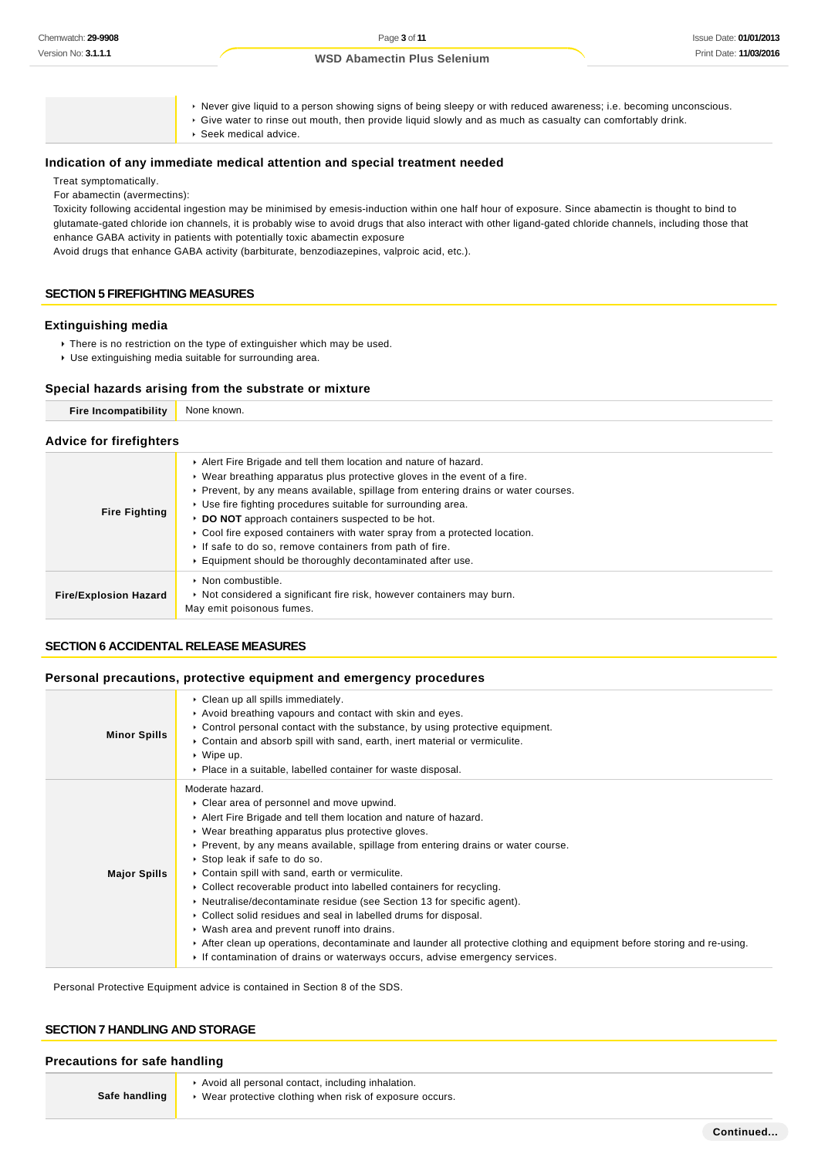Never give liquid to a person showing signs of being sleepy or with reduced awareness; i.e. becoming unconscious. Give water to rinse out mouth, then provide liquid slowly and as much as casualty can comfortably drink.

Seek medical advice.

#### **Indication of any immediate medical attention and special treatment needed**

Treat symptomatically.

For abamectin (avermectins):

Toxicity following accidental ingestion may be minimised by emesis-induction within one half hour of exposure. Since abamectin is thought to bind to glutamate-gated chloride ion channels, it is probably wise to avoid drugs that also interact with other ligand-gated chloride channels, including those that enhance GABA activity in patients with potentially toxic abamectin exposure

Avoid drugs that enhance GABA activity (barbiturate, benzodiazepines, valproic acid, etc.).

### **SECTION 5 FIREFIGHTING MEASURES**

#### **Extinguishing media**

- There is no restriction on the type of extinguisher which may be used.
- Use extinguishing media suitable for surrounding area.

#### **Special hazards arising from the substrate or mixture**

| <b>Fire Incompatibility</b>    | None known.                                                                                                                                                                                                                                                                                                                                                                                                                                                                                                                                                               |  |  |
|--------------------------------|---------------------------------------------------------------------------------------------------------------------------------------------------------------------------------------------------------------------------------------------------------------------------------------------------------------------------------------------------------------------------------------------------------------------------------------------------------------------------------------------------------------------------------------------------------------------------|--|--|
| <b>Advice for firefighters</b> |                                                                                                                                                                                                                                                                                                                                                                                                                                                                                                                                                                           |  |  |
| <b>Fire Fighting</b>           | Alert Fire Brigade and tell them location and nature of hazard.<br>$\triangleright$ Wear breathing apparatus plus protective gloves in the event of a fire.<br>▶ Prevent, by any means available, spillage from entering drains or water courses.<br>▶ Use fire fighting procedures suitable for surrounding area.<br>DO NOT approach containers suspected to be hot.<br>► Cool fire exposed containers with water spray from a protected location.<br>If safe to do so, remove containers from path of fire.<br>Equipment should be thoroughly decontaminated after use. |  |  |
| <b>Fire/Explosion Hazard</b>   | $\triangleright$ Non combustible.<br>► Not considered a significant fire risk, however containers may burn.<br>May emit poisonous fumes.                                                                                                                                                                                                                                                                                                                                                                                                                                  |  |  |

### **SECTION 6 ACCIDENTAL RELEASE MEASURES**

#### **Personal precautions, protective equipment and emergency procedures**

| <b>Minor Spills</b> | • Clean up all spills immediately.<br>Avoid breathing vapours and contact with skin and eyes.<br>$\triangleright$ Control personal contact with the substance, by using protective equipment.<br>Contain and absorb spill with sand, earth, inert material or vermiculite.<br>$\triangleright$ Wipe up.<br>• Place in a suitable, labelled container for waste disposal.                                                                                                                                                                                                                                                                                                                                                                                                                                                                                          |
|---------------------|-------------------------------------------------------------------------------------------------------------------------------------------------------------------------------------------------------------------------------------------------------------------------------------------------------------------------------------------------------------------------------------------------------------------------------------------------------------------------------------------------------------------------------------------------------------------------------------------------------------------------------------------------------------------------------------------------------------------------------------------------------------------------------------------------------------------------------------------------------------------|
| <b>Major Spills</b> | Moderate hazard.<br>• Clear area of personnel and move upwind.<br>Alert Fire Brigade and tell them location and nature of hazard.<br>• Wear breathing apparatus plus protective gloves.<br>► Prevent, by any means available, spillage from entering drains or water course.<br>▶ Stop leak if safe to do so.<br>• Contain spill with sand, earth or vermiculite.<br>• Collect recoverable product into labelled containers for recycling.<br>$\triangleright$ Neutralise/decontaminate residue (see Section 13 for specific agent).<br>▶ Collect solid residues and seal in labelled drums for disposal.<br>• Wash area and prevent runoff into drains.<br>After clean up operations, decontaminate and launder all protective clothing and equipment before storing and re-using.<br>If contamination of drains or waterways occurs, advise emergency services. |

Personal Protective Equipment advice is contained in Section 8 of the SDS.

## **SECTION 7 HANDLING AND STORAGE**

# **Precautions for safe handling**

**Safe handling**

- Avoid all personal contact, including inhalation.
- Wear protective clothing when risk of exposure occurs.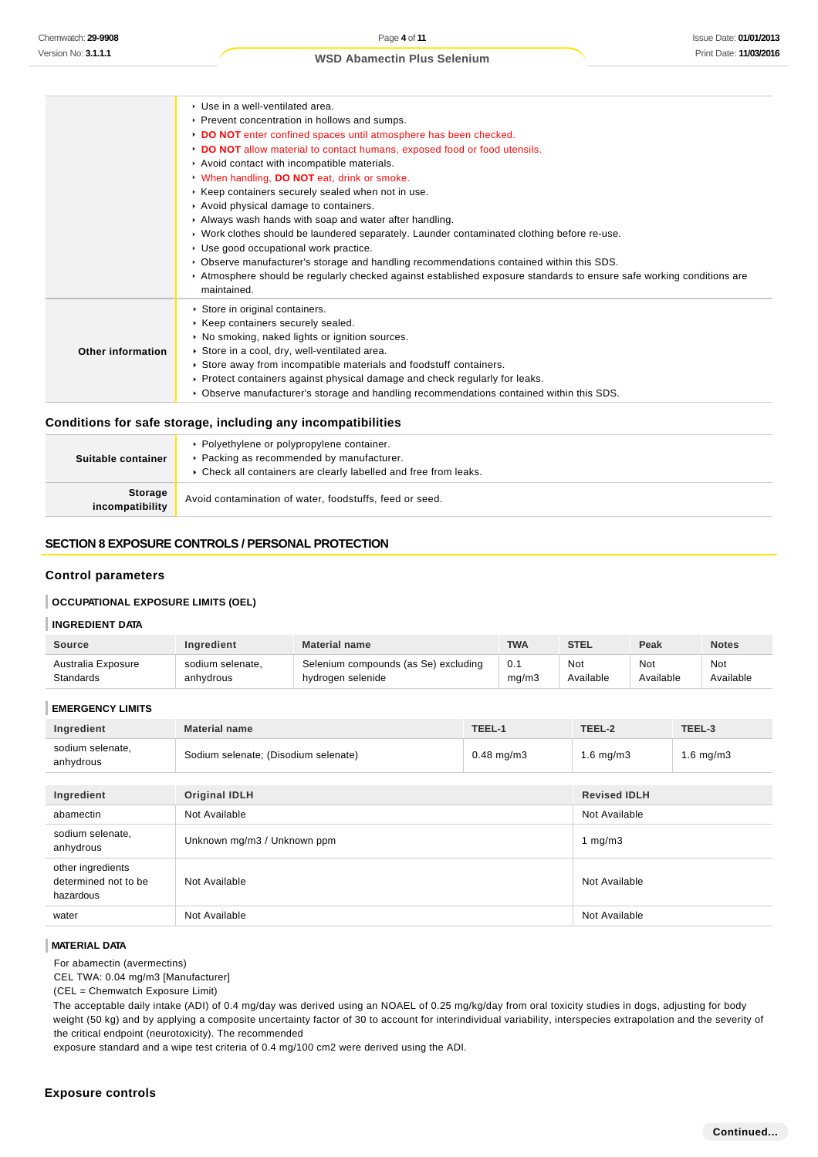|                   | ▶ Use in a well-ventilated area.                                                                                                     |
|-------------------|--------------------------------------------------------------------------------------------------------------------------------------|
|                   | ▶ Prevent concentration in hollows and sumps.                                                                                        |
|                   | DO NOT enter confined spaces until atmosphere has been checked.                                                                      |
|                   | DO NOT allow material to contact humans, exposed food or food utensils.                                                              |
|                   | Avoid contact with incompatible materials.                                                                                           |
|                   | When handling, DO NOT eat, drink or smoke.                                                                                           |
|                   | ▶ Keep containers securely sealed when not in use.                                                                                   |
|                   | Avoid physical damage to containers.                                                                                                 |
|                   | Always wash hands with soap and water after handling.                                                                                |
|                   | ▶ Work clothes should be laundered separately. Launder contaminated clothing before re-use.                                          |
|                   | ► Use good occupational work practice.                                                                                               |
|                   | ▶ Observe manufacturer's storage and handling recommendations contained within this SDS.                                             |
|                   | ► Atmosphere should be regularly checked against established exposure standards to ensure safe working conditions are<br>maintained. |
|                   | Store in original containers.                                                                                                        |
|                   | ▶ Keep containers securely sealed.                                                                                                   |
|                   | • No smoking, naked lights or ignition sources.                                                                                      |
| Other information | Store in a cool, dry, well-ventilated area.                                                                                          |
|                   | Store away from incompatible materials and foodstuff containers.                                                                     |
|                   | ▶ Protect containers against physical damage and check regularly for leaks.                                                          |
|                   | ► Observe manufacturer's storage and handling recommendations contained within this SDS.                                             |

#### **Conditions for safe storage, including any incompatibilities**

| Suitable container                | • Polyethylene or polypropylene container.<br>▶ Packing as recommended by manufacturer.<br>▶ Check all containers are clearly labelled and free from leaks. |
|-----------------------------------|-------------------------------------------------------------------------------------------------------------------------------------------------------------|
| <b>Storage</b><br>incompatibility | Avoid contamination of water, foodstuffs, feed or seed.                                                                                                     |

#### **SECTION 8 EXPOSURE CONTROLS / PERSONAL PROTECTION**

### **Control parameters**

# **OCCUPATIONAL EXPOSURE LIMITS (OEL)**

# **INGREDIENT DATA**

| Source             | <b>Ingredient</b> | <b>Material name</b>                 | <b>TWA</b> | <b>STEL</b> | Peak      | <b>Notes</b> |
|--------------------|-------------------|--------------------------------------|------------|-------------|-----------|--------------|
| Australia Exposure | sodium selenate.  | Selenium compounds (as Se) excluding | 0.1        | Not         | Not       | Not          |
| Standards          | anhydrous         | hydrogen selenide                    | mq/m3      | Available   | Available | Available    |

#### **EMERGENCY LIMITS**

| Ingredient                                             | TEEL-1<br><b>Material name</b>                       |  | TEEL-2              | TEEL-3         |
|--------------------------------------------------------|------------------------------------------------------|--|---------------------|----------------|
| sodium selenate,<br>anhydrous                          | Sodium selenate; (Disodium selenate)<br>$0.48$ mg/m3 |  | 1.6 mg/m $3$        | $1.6$ mg/m $3$ |
|                                                        |                                                      |  |                     |                |
| Ingredient                                             | <b>Original IDLH</b>                                 |  | <b>Revised IDLH</b> |                |
| abamectin                                              | Not Available                                        |  | Not Available       |                |
| sodium selenate,<br>anhydrous                          | Unknown mg/m3 / Unknown ppm                          |  | 1 $mq/m3$           |                |
| other ingredients<br>determined not to be<br>hazardous | Not Available                                        |  | Not Available       |                |
| water                                                  | Not Available                                        |  | Not Available       |                |

#### **MATERIAL DATA**

For abamectin (avermectins)

CEL TWA: 0.04 mg/m3 [Manufacturer]

(CEL = Chemwatch Exposure Limit)

The acceptable daily intake (ADI) of 0.4 mg/day was derived using an NOAEL of 0.25 mg/kg/day from oral toxicity studies in dogs, adjusting for body weight (50 kg) and by applying a composite uncertainty factor of 30 to account for interindividual variability, interspecies extrapolation and the severity of the critical endpoint (neurotoxicity). The recommended

exposure standard and a wipe test criteria of 0.4 mg/100 cm2 were derived using the ADI.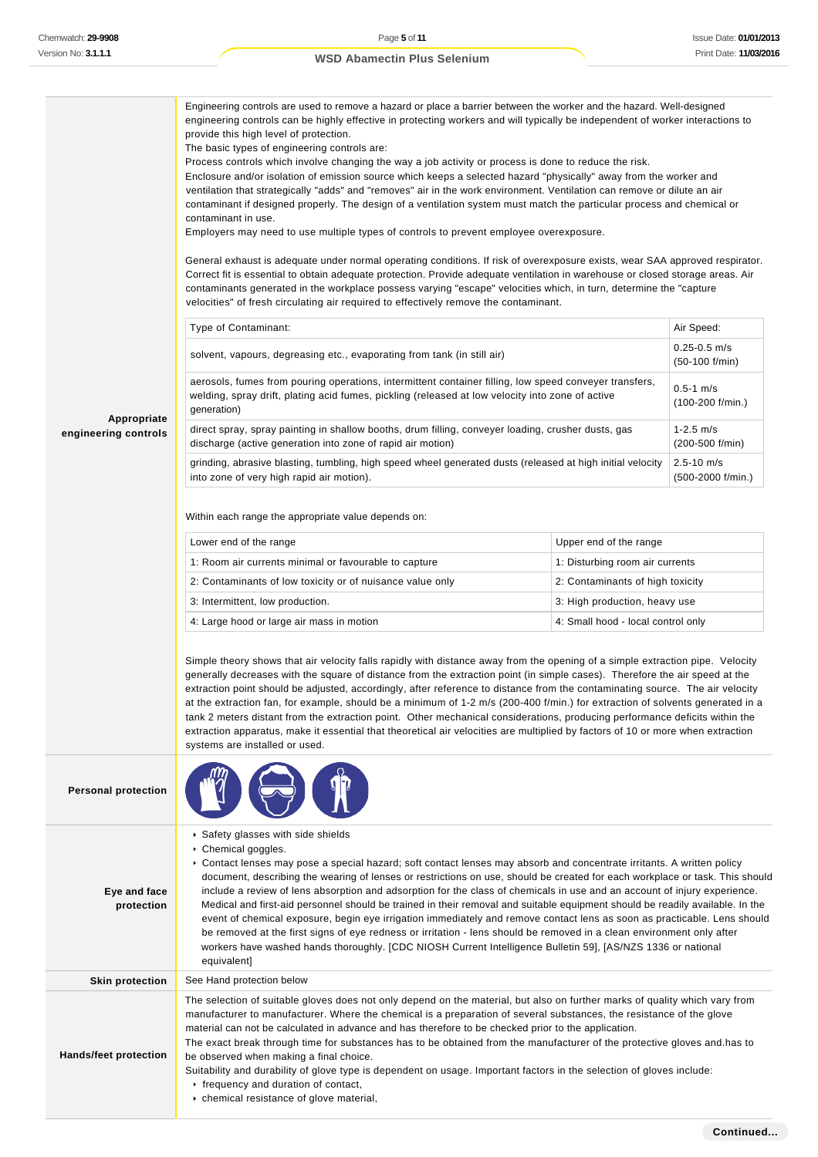|                            | Engineering controls are used to remove a hazard or place a barrier between the worker and the hazard. Well-designed<br>engineering controls can be highly effective in protecting workers and will typically be independent of worker interactions to<br>provide this high level of protection.<br>The basic types of engineering controls are:<br>Process controls which involve changing the way a job activity or process is done to reduce the risk.<br>Enclosure and/or isolation of emission source which keeps a selected hazard "physically" away from the worker and<br>ventilation that strategically "adds" and "removes" air in the work environment. Ventilation can remove or dilute an air<br>contaminant if designed properly. The design of a ventilation system must match the particular process and chemical or<br>contaminant in use.<br>Employers may need to use multiple types of controls to prevent employee overexposure.<br>General exhaust is adequate under normal operating conditions. If risk of overexposure exists, wear SAA approved respirator.<br>Correct fit is essential to obtain adequate protection. Provide adequate ventilation in warehouse or closed storage areas. Air<br>contaminants generated in the workplace possess varying "escape" velocities which, in turn, determine the "capture<br>velocities" of fresh circulating air required to effectively remove the contaminant. |                                    |                                      |  |
|----------------------------|---------------------------------------------------------------------------------------------------------------------------------------------------------------------------------------------------------------------------------------------------------------------------------------------------------------------------------------------------------------------------------------------------------------------------------------------------------------------------------------------------------------------------------------------------------------------------------------------------------------------------------------------------------------------------------------------------------------------------------------------------------------------------------------------------------------------------------------------------------------------------------------------------------------------------------------------------------------------------------------------------------------------------------------------------------------------------------------------------------------------------------------------------------------------------------------------------------------------------------------------------------------------------------------------------------------------------------------------------------------------------------------------------------------------------------------|------------------------------------|--------------------------------------|--|
|                            | Type of Contaminant:                                                                                                                                                                                                                                                                                                                                                                                                                                                                                                                                                                                                                                                                                                                                                                                                                                                                                                                                                                                                                                                                                                                                                                                                                                                                                                                                                                                                                  |                                    | Air Speed:                           |  |
|                            | solvent, vapours, degreasing etc., evaporating from tank (in still air)                                                                                                                                                                                                                                                                                                                                                                                                                                                                                                                                                                                                                                                                                                                                                                                                                                                                                                                                                                                                                                                                                                                                                                                                                                                                                                                                                               |                                    | $0.25 - 0.5$ m/s<br>$(50-100 f/min)$ |  |
| Appropriate                | aerosols, fumes from pouring operations, intermittent container filling, low speed conveyer transfers,<br>welding, spray drift, plating acid fumes, pickling (released at low velocity into zone of active<br>generation)                                                                                                                                                                                                                                                                                                                                                                                                                                                                                                                                                                                                                                                                                                                                                                                                                                                                                                                                                                                                                                                                                                                                                                                                             |                                    | $0.5 - 1$ m/s<br>$(100-200$ f/min.)  |  |
| engineering controls       | direct spray, spray painting in shallow booths, drum filling, conveyer loading, crusher dusts, gas<br>discharge (active generation into zone of rapid air motion)                                                                                                                                                                                                                                                                                                                                                                                                                                                                                                                                                                                                                                                                                                                                                                                                                                                                                                                                                                                                                                                                                                                                                                                                                                                                     |                                    | $1 - 2.5$ m/s<br>(200-500 f/min)     |  |
|                            | grinding, abrasive blasting, tumbling, high speed wheel generated dusts (released at high initial velocity<br>into zone of very high rapid air motion).                                                                                                                                                                                                                                                                                                                                                                                                                                                                                                                                                                                                                                                                                                                                                                                                                                                                                                                                                                                                                                                                                                                                                                                                                                                                               |                                    | $2.5 - 10$ m/s<br>(500-2000 f/min.)  |  |
|                            | Within each range the appropriate value depends on:                                                                                                                                                                                                                                                                                                                                                                                                                                                                                                                                                                                                                                                                                                                                                                                                                                                                                                                                                                                                                                                                                                                                                                                                                                                                                                                                                                                   |                                    |                                      |  |
|                            | Lower end of the range                                                                                                                                                                                                                                                                                                                                                                                                                                                                                                                                                                                                                                                                                                                                                                                                                                                                                                                                                                                                                                                                                                                                                                                                                                                                                                                                                                                                                | Upper end of the range             |                                      |  |
|                            | 1: Room air currents minimal or favourable to capture                                                                                                                                                                                                                                                                                                                                                                                                                                                                                                                                                                                                                                                                                                                                                                                                                                                                                                                                                                                                                                                                                                                                                                                                                                                                                                                                                                                 | 1: Disturbing room air currents    |                                      |  |
|                            | 2: Contaminants of low toxicity or of nuisance value only                                                                                                                                                                                                                                                                                                                                                                                                                                                                                                                                                                                                                                                                                                                                                                                                                                                                                                                                                                                                                                                                                                                                                                                                                                                                                                                                                                             | 2: Contaminants of high toxicity   |                                      |  |
|                            | 3: Intermittent, low production.                                                                                                                                                                                                                                                                                                                                                                                                                                                                                                                                                                                                                                                                                                                                                                                                                                                                                                                                                                                                                                                                                                                                                                                                                                                                                                                                                                                                      | 3: High production, heavy use      |                                      |  |
|                            | 4: Large hood or large air mass in motion                                                                                                                                                                                                                                                                                                                                                                                                                                                                                                                                                                                                                                                                                                                                                                                                                                                                                                                                                                                                                                                                                                                                                                                                                                                                                                                                                                                             | 4: Small hood - local control only |                                      |  |
|                            | Simple theory shows that air velocity falls rapidly with distance away from the opening of a simple extraction pipe. Velocity<br>generally decreases with the square of distance from the extraction point (in simple cases). Therefore the air speed at the<br>extraction point should be adjusted, accordingly, after reference to distance from the contaminating source. The air velocity<br>at the extraction fan, for example, should be a minimum of 1-2 m/s (200-400 f/min.) for extraction of solvents generated in a<br>tank 2 meters distant from the extraction point. Other mechanical considerations, producing performance deficits within the<br>extraction apparatus, make it essential that theoretical air velocities are multiplied by factors of 10 or more when extraction<br>systems are installed or used.                                                                                                                                                                                                                                                                                                                                                                                                                                                                                                                                                                                                    |                                    |                                      |  |
| <b>Personal protection</b> |                                                                                                                                                                                                                                                                                                                                                                                                                                                                                                                                                                                                                                                                                                                                                                                                                                                                                                                                                                                                                                                                                                                                                                                                                                                                                                                                                                                                                                       |                                    |                                      |  |
| Eye and face<br>protection | Safety glasses with side shields<br>Chemical goggles.<br>▶ Contact lenses may pose a special hazard; soft contact lenses may absorb and concentrate irritants. A written policy<br>document, describing the wearing of lenses or restrictions on use, should be created for each workplace or task. This should<br>include a review of lens absorption and adsorption for the class of chemicals in use and an account of injury experience.<br>Medical and first-aid personnel should be trained in their removal and suitable equipment should be readily available. In the<br>event of chemical exposure, begin eye irrigation immediately and remove contact lens as soon as practicable. Lens should<br>be removed at the first signs of eye redness or irritation - lens should be removed in a clean environment only after<br>workers have washed hands thoroughly. [CDC NIOSH Current Intelligence Bulletin 59], [AS/NZS 1336 or national<br>equivalent]                                                                                                                                                                                                                                                                                                                                                                                                                                                                     |                                    |                                      |  |
| <b>Skin protection</b>     | See Hand protection below                                                                                                                                                                                                                                                                                                                                                                                                                                                                                                                                                                                                                                                                                                                                                                                                                                                                                                                                                                                                                                                                                                                                                                                                                                                                                                                                                                                                             |                                    |                                      |  |
| Hands/feet protection      | The selection of suitable gloves does not only depend on the material, but also on further marks of quality which vary from<br>manufacturer to manufacturer. Where the chemical is a preparation of several substances, the resistance of the glove<br>material can not be calculated in advance and has therefore to be checked prior to the application.<br>The exact break through time for substances has to be obtained from the manufacturer of the protective gloves and has to<br>be observed when making a final choice.<br>Suitability and durability of glove type is dependent on usage. Important factors in the selection of gloves include:<br>Firequency and duration of contact,<br>chemical resistance of glove material,                                                                                                                                                                                                                                                                                                                                                                                                                                                                                                                                                                                                                                                                                           |                                    |                                      |  |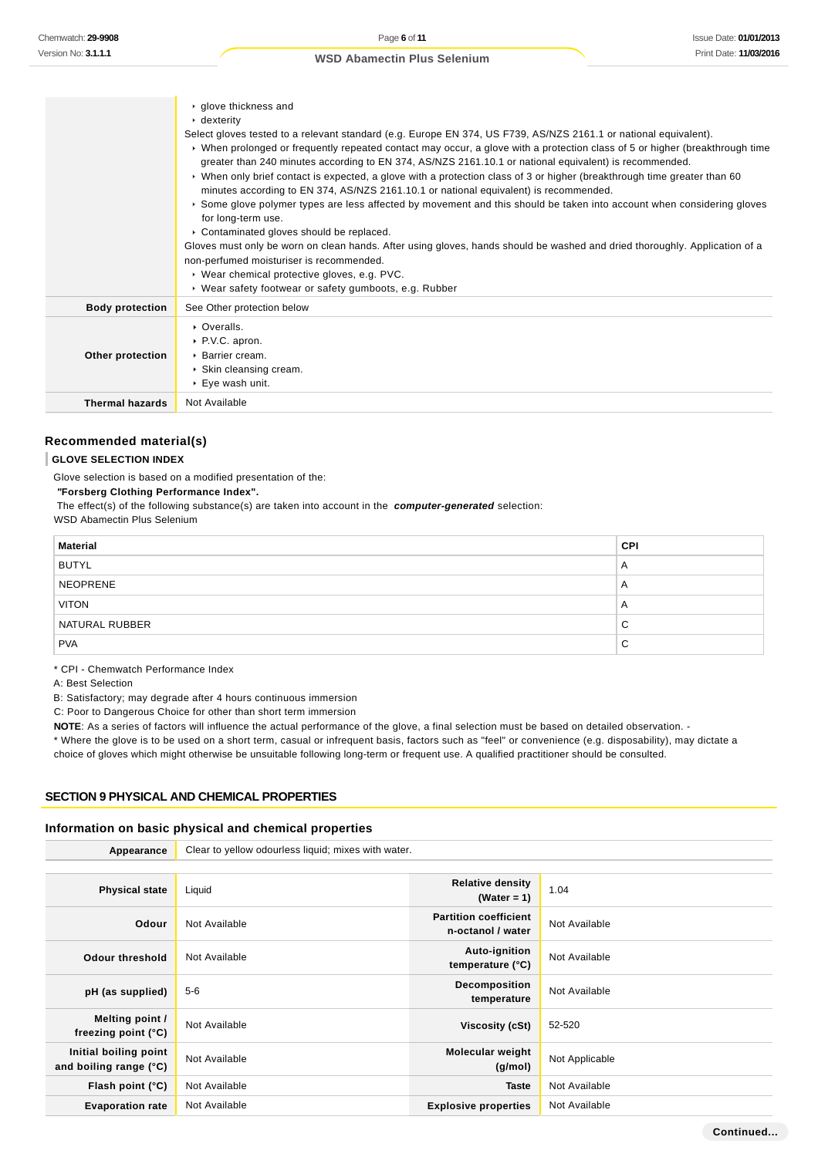|                        | $\cdot$ glove thickness and<br>$\cdot$ dexterity<br>Select gloves tested to a relevant standard (e.g. Europe EN 374, US F739, AS/NZS 2161.1 or national equivalent).<br>► When prolonged or frequently repeated contact may occur, a glove with a protection class of 5 or higher (breakthrough time<br>greater than 240 minutes according to EN 374, AS/NZS 2161.10.1 or national equivalent) is recommended.<br>► When only brief contact is expected, a glove with a protection class of 3 or higher (breakthrough time greater than 60<br>minutes according to EN 374, AS/NZS 2161.10.1 or national equivalent) is recommended.<br>Some glove polymer types are less affected by movement and this should be taken into account when considering gloves<br>for long-term use.<br>• Contaminated gloves should be replaced.<br>Gloves must only be worn on clean hands. After using gloves, hands should be washed and dried thoroughly. Application of a<br>non-perfumed moisturiser is recommended.<br>▶ Wear chemical protective gloves, e.g. PVC.<br>▶ Wear safety footwear or safety gumboots, e.g. Rubber |
|------------------------|--------------------------------------------------------------------------------------------------------------------------------------------------------------------------------------------------------------------------------------------------------------------------------------------------------------------------------------------------------------------------------------------------------------------------------------------------------------------------------------------------------------------------------------------------------------------------------------------------------------------------------------------------------------------------------------------------------------------------------------------------------------------------------------------------------------------------------------------------------------------------------------------------------------------------------------------------------------------------------------------------------------------------------------------------------------------------------------------------------------------|
| <b>Body protection</b> | See Other protection below                                                                                                                                                                                                                                                                                                                                                                                                                                                                                                                                                                                                                                                                                                                                                                                                                                                                                                                                                                                                                                                                                         |
| Other protection       | $\triangleright$ Overalls.<br>▶ P.V.C. apron.<br>$\triangleright$ Barrier cream.<br>▶ Skin cleansing cream.<br>$\blacktriangleright$ Eye wash unit.                                                                                                                                                                                                                                                                                                                                                                                                                                                                                                                                                                                                                                                                                                                                                                                                                                                                                                                                                                |
| <b>Thermal hazards</b> | Not Available                                                                                                                                                                                                                                                                                                                                                                                                                                                                                                                                                                                                                                                                                                                                                                                                                                                                                                                                                                                                                                                                                                      |

#### **Recommended material(s)**

#### **GLOVE SELECTION INDEX**

Glove selection is based on a modified presentation of the:

 **"Forsberg Clothing Performance Index".**

 The effect(s) of the following substance(s) are taken into account in the **computer-generated** selection: WSD Abamectin Plus Selenium

| <b>Material</b> | <b>CPI</b>     |
|-----------------|----------------|
| <b>BUTYL</b>    | A              |
| <b>NEOPRENE</b> | $\overline{A}$ |
| <b>VITON</b>    | $\overline{A}$ |
| NATURAL RUBBER  | C              |
| <b>PVA</b>      | C              |

\* CPI - Chemwatch Performance Index

A: Best Selection

B: Satisfactory; may degrade after 4 hours continuous immersion

C: Poor to Dangerous Choice for other than short term immersion

**NOTE:** As a series of factors will influence the actual performance of the glove, a final selection must be based on detailed observation. -

\* Where the glove is to be used on a short term, casual or infrequent basis, factors such as "feel" or convenience (e.g. disposability), may dictate a choice of gloves which might otherwise be unsuitable following long-term or frequent use. A qualified practitioner should be consulted.

#### **SECTION 9 PHYSICAL AND CHEMICAL PROPERTIES**

#### **Information on basic physical and chemical properties**

| Appearance                                      | Clear to yellow odourless liquid; mixes with water. |                                                   |                |
|-------------------------------------------------|-----------------------------------------------------|---------------------------------------------------|----------------|
|                                                 |                                                     |                                                   |                |
| <b>Physical state</b>                           | Liquid                                              | <b>Relative density</b><br>(Water = 1)            | 1.04           |
| Odour                                           | Not Available                                       | <b>Partition coefficient</b><br>n-octanol / water | Not Available  |
| <b>Odour threshold</b>                          | Not Available                                       | Auto-ignition<br>temperature (°C)                 | Not Available  |
| pH (as supplied)                                | $5-6$                                               | Decomposition<br>temperature                      | Not Available  |
| Melting point /<br>freezing point $(°C)$        | Not Available                                       | Viscosity (cSt)                                   | 52-520         |
| Initial boiling point<br>and boiling range (°C) | Not Available                                       | <b>Molecular weight</b><br>(g/mol)                | Not Applicable |
| Flash point (°C)                                | Not Available                                       | <b>Taste</b>                                      | Not Available  |
| <b>Evaporation rate</b>                         | Not Available                                       | <b>Explosive properties</b>                       | Not Available  |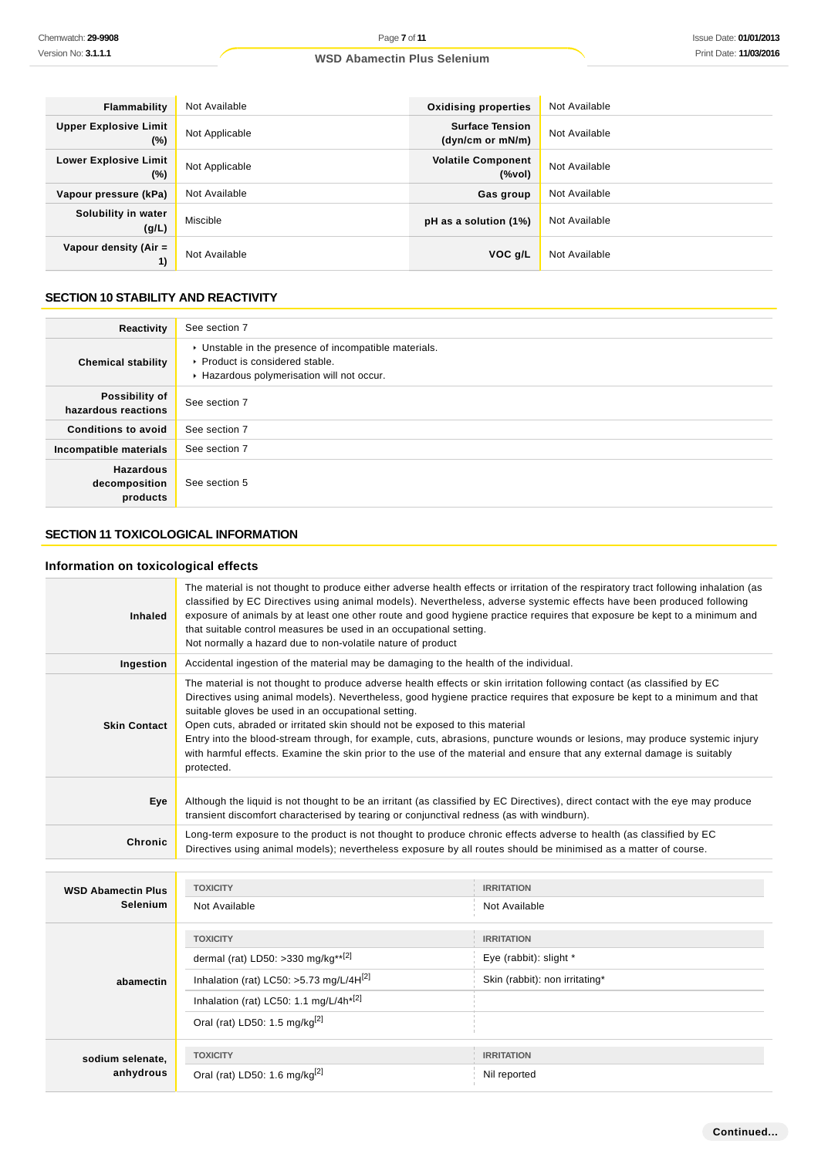| Flammability                           | Not Available  | <b>Oxidising properties</b>                | Not Available |
|----------------------------------------|----------------|--------------------------------------------|---------------|
| <b>Upper Explosive Limit</b><br>$(\%)$ | Not Applicable | <b>Surface Tension</b><br>(dyn/cm or mN/m) | Not Available |
| <b>Lower Explosive Limit</b><br>$(\%)$ | Not Applicable | <b>Volatile Component</b><br>(%vol)        | Not Available |
| Vapour pressure (kPa)                  | Not Available  | Gas group                                  | Not Available |
| Solubility in water<br>(g/L)           | Miscible       | pH as a solution (1%)                      | Not Available |
| Vapour density (Air $=$<br>1)          | Not Available  | VOC g/L                                    | Not Available |

# **SECTION 10 STABILITY AND REACTIVITY**

| Reactivity                                    | See section 7                                                                                                                        |
|-----------------------------------------------|--------------------------------------------------------------------------------------------------------------------------------------|
| <b>Chemical stability</b>                     | • Unstable in the presence of incompatible materials.<br>▶ Product is considered stable.<br>Hazardous polymerisation will not occur. |
| Possibility of<br>hazardous reactions         | See section 7                                                                                                                        |
| <b>Conditions to avoid</b>                    | See section 7                                                                                                                        |
| Incompatible materials                        | See section 7                                                                                                                        |
| <b>Hazardous</b><br>decomposition<br>products | See section 5                                                                                                                        |

# **SECTION 11 TOXICOLOGICAL INFORMATION**

# **Information on toxicological effects**

| <b>Inhaled</b>                               | The material is not thought to produce either adverse health effects or irritation of the respiratory tract following inhalation (as<br>classified by EC Directives using animal models). Nevertheless, adverse systemic effects have been produced following<br>exposure of animals by at least one other route and good hygiene practice requires that exposure be kept to a minimum and<br>that suitable control measures be used in an occupational setting.<br>Not normally a hazard due to non-volatile nature of product                                                                                                                                   |                                                                               |  |
|----------------------------------------------|-------------------------------------------------------------------------------------------------------------------------------------------------------------------------------------------------------------------------------------------------------------------------------------------------------------------------------------------------------------------------------------------------------------------------------------------------------------------------------------------------------------------------------------------------------------------------------------------------------------------------------------------------------------------|-------------------------------------------------------------------------------|--|
| Ingestion                                    | Accidental ingestion of the material may be damaging to the health of the individual.                                                                                                                                                                                                                                                                                                                                                                                                                                                                                                                                                                             |                                                                               |  |
| <b>Skin Contact</b>                          | The material is not thought to produce adverse health effects or skin irritation following contact (as classified by EC<br>Directives using animal models). Nevertheless, good hygiene practice requires that exposure be kept to a minimum and that<br>suitable gloves be used in an occupational setting.<br>Open cuts, abraded or irritated skin should not be exposed to this material<br>Entry into the blood-stream through, for example, cuts, abrasions, puncture wounds or lesions, may produce systemic injury<br>with harmful effects. Examine the skin prior to the use of the material and ensure that any external damage is suitably<br>protected. |                                                                               |  |
| Eye                                          | Although the liquid is not thought to be an irritant (as classified by EC Directives), direct contact with the eye may produce<br>transient discomfort characterised by tearing or conjunctival redness (as with windburn).                                                                                                                                                                                                                                                                                                                                                                                                                                       |                                                                               |  |
| Chronic                                      | Long-term exposure to the product is not thought to produce chronic effects adverse to health (as classified by EC<br>Directives using animal models); nevertheless exposure by all routes should be minimised as a matter of course.                                                                                                                                                                                                                                                                                                                                                                                                                             |                                                                               |  |
| <b>WSD Abamectin Plus</b><br><b>Selenium</b> | <b>TOXICITY</b><br>Not Available                                                                                                                                                                                                                                                                                                                                                                                                                                                                                                                                                                                                                                  | <b>IRRITATION</b><br>Not Available                                            |  |
| abamectin                                    | <b>TOXICITY</b><br>dermal (rat) LD50: >330 mg/kg**[2]<br>Inhalation (rat) LC50: >5.73 mg/L/4H <sup>[2]</sup><br>Inhalation (rat) LC50: 1.1 mg/L/4h <sup>*[2]</sup><br>Oral (rat) LD50: 1.5 mg/kg $^{[2]}$                                                                                                                                                                                                                                                                                                                                                                                                                                                         | <b>IRRITATION</b><br>Eye (rabbit): slight *<br>Skin (rabbit): non irritating* |  |
| sodium selenate,<br>anhydrous                | <b>TOXICITY</b><br>Oral (rat) LD50: 1.6 mg/kg $^{[2]}$                                                                                                                                                                                                                                                                                                                                                                                                                                                                                                                                                                                                            | <b>IRRITATION</b><br>Nil reported                                             |  |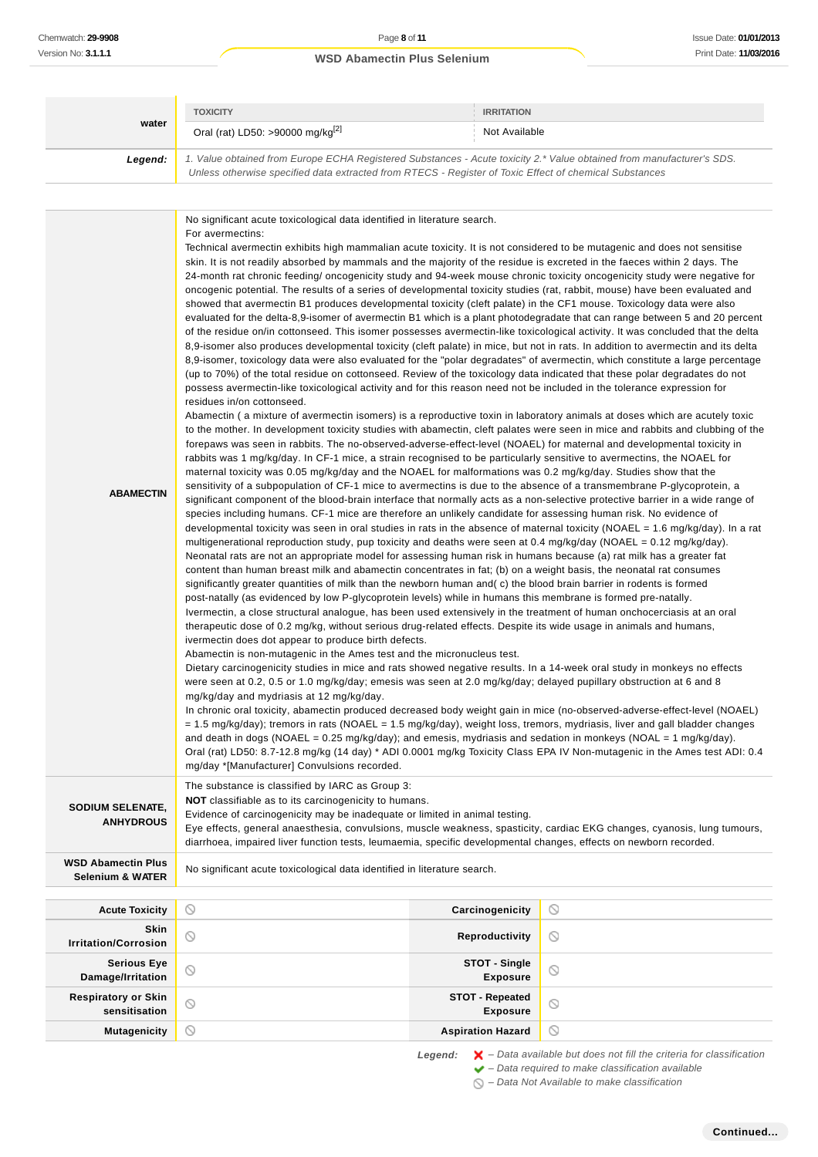| water<br>Oral (rat) LD50: >90000 mg/kg <sup>[2]</sup><br>Not Available<br>1. Value obtained from Europe ECHA Registered Substances - Acute toxicity 2.* Value obtained from manufacturer's SDS.<br>Legend:<br>Unless otherwise specified data extracted from RTECS - Register of Toxic Effect of chemical Substances<br>No significant acute toxicological data identified in literature search.<br>For avermectins:<br>Technical avermectin exhibits high mammalian acute toxicity. It is not considered to be mutagenic and does not sensitise<br>skin. It is not readily absorbed by mammals and the majority of the residue is excreted in the faeces within 2 days. The<br>24-month rat chronic feeding/oncogenicity study and 94-week mouse chronic toxicity oncogenicity study were negative for<br>oncogenic potential. The results of a series of developmental toxicity studies (rat, rabbit, mouse) have been evaluated and<br>showed that avermectin B1 produces developmental toxicity (cleft palate) in the CF1 mouse. Toxicology data were also<br>evaluated for the delta-8,9-isomer of avermectin B1 which is a plant photodegradate that can range between 5 and 20 percent<br>of the residue on/in cottonseed. This isomer possesses avermectin-like toxicological activity. It was concluded that the delta<br>8,9-isomer also produces developmental toxicity (cleft palate) in mice, but not in rats. In addition to avermectin and its delta<br>8,9-isomer, toxicology data were also evaluated for the "polar degradates" of avermectin, which constitute a large percentage<br>(up to 70%) of the total residue on cottonseed. Review of the toxicology data indicated that these polar degradates do not<br>possess avermectin-like toxicological activity and for this reason need not be included in the tolerance expression for<br>residues in/on cottonseed.<br>Abamectin (a mixture of avermectin isomers) is a reproductive toxin in laboratory animals at doses which are acutely toxic<br>to the mother. In development toxicity studies with abamectin, cleft palates were seen in mice and rabbits and clubbing of the<br>forepaws was seen in rabbits. The no-observed-adverse-effect-level (NOAEL) for maternal and developmental toxicity in<br>rabbits was 1 mg/kg/day. In CF-1 mice, a strain recognised to be particularly sensitive to avermectins, the NOAEL for<br>maternal toxicity was 0.05 mg/kg/day and the NOAEL for malformations was 0.2 mg/kg/day. Studies show that the<br>sensitivity of a subpopulation of CF-1 mice to avermectins is due to the absence of a transmembrane P-glycoprotein, a<br><b>ABAMECTIN</b><br>significant component of the blood-brain interface that normally acts as a non-selective protective barrier in a wide range of<br>species including humans. CF-1 mice are therefore an unlikely candidate for assessing human risk. No evidence of<br>developmental toxicity was seen in oral studies in rats in the absence of maternal toxicity (NOAEL = 1.6 mg/kg/day). In a rat<br>multigenerational reproduction study, pup toxicity and deaths were seen at 0.4 mg/kg/day (NOAEL = 0.12 mg/kg/day).<br>Neonatal rats are not an appropriate model for assessing human risk in humans because (a) rat milk has a greater fat<br>content than human breast milk and abamectin concentrates in fat; (b) on a weight basis, the neonatal rat consumes<br>significantly greater quantities of milk than the newborn human and(c) the blood brain barrier in rodents is formed<br>post-natally (as evidenced by low P-glycoprotein levels) while in humans this membrane is formed pre-natally.<br>Ivermectin, a close structural analogue, has been used extensively in the treatment of human onchocerciasis at an oral<br>therapeutic dose of 0.2 mg/kg, without serious drug-related effects. Despite its wide usage in animals and humans,<br>ivermectin does dot appear to produce birth defects.<br>Abamectin is non-mutagenic in the Ames test and the micronucleus test.<br>Dietary carcinogenicity studies in mice and rats showed negative results. In a 14-week oral study in monkeys no effects<br>were seen at 0.2, 0.5 or 1.0 mg/kg/day; emesis was seen at 2.0 mg/kg/day; delayed pupillary obstruction at 6 and 8<br>mg/kg/day and mydriasis at 12 mg/kg/day.<br>In chronic oral toxicity, abamectin produced decreased body weight gain in mice (no-observed-adverse-effect-level (NOAEL)<br>= 1.5 mg/kg/day); tremors in rats (NOAEL = 1.5 mg/kg/day), weight loss, tremors, mydriasis, liver and gall bladder changes<br>and death in dogs (NOAEL = 0.25 mg/kg/day); and emesis, mydriasis and sedation in monkeys (NOAL = 1 mg/kg/day).<br>Oral (rat) LD50: 8.7-12.8 mg/kg (14 day) * ADI 0.0001 mg/kg Toxicity Class EPA IV Non-mutagenic in the Ames test ADI: 0.4<br>mg/day *[Manufacturer] Convulsions recorded.<br>The substance is classified by IARC as Group 3:<br>NOT classifiable as to its carcinogenicity to humans.<br>SODIUM SELENATE,<br>Evidence of carcinogenicity may be inadequate or limited in animal testing.<br><b>ANHYDROUS</b><br>Eye effects, general anaesthesia, convulsions, muscle weakness, spasticity, cardiac EKG changes, cyanosis, lung tumours,<br>diarrhoea, impaired liver function tests, leumaemia, specific developmental changes, effects on newborn recorded.<br><b>WSD Abamectin Plus</b><br>No significant acute toxicological data identified in literature search.<br><b>Selenium &amp; WATER</b><br>$\circ$<br>Carcinogenicity<br>$\circ$<br><b>Acute Toxicity</b><br>Skin<br>$\circledcirc$<br>$\circledcirc$<br>Reproductivity<br><b>Irritation/Corrosion</b><br><b>STOT - Single</b><br><b>Serious Eye</b><br>$\circledcirc$<br>O<br>Damage/Irritation<br>Exposure<br><b>Respiratory or Skin</b><br><b>STOT - Repeated</b><br>$\circledcirc$<br>⊙<br>sensitisation<br>Exposure<br>$\circ$<br><b>Mutagenicity</b><br>O<br><b>Aspiration Hazard</b> | <b>TOXICITY</b> | <b>IRRITATION</b> |  |
|----------------------------------------------------------------------------------------------------------------------------------------------------------------------------------------------------------------------------------------------------------------------------------------------------------------------------------------------------------------------------------------------------------------------------------------------------------------------------------------------------------------------------------------------------------------------------------------------------------------------------------------------------------------------------------------------------------------------------------------------------------------------------------------------------------------------------------------------------------------------------------------------------------------------------------------------------------------------------------------------------------------------------------------------------------------------------------------------------------------------------------------------------------------------------------------------------------------------------------------------------------------------------------------------------------------------------------------------------------------------------------------------------------------------------------------------------------------------------------------------------------------------------------------------------------------------------------------------------------------------------------------------------------------------------------------------------------------------------------------------------------------------------------------------------------------------------------------------------------------------------------------------------------------------------------------------------------------------------------------------------------------------------------------------------------------------------------------------------------------------------------------------------------------------------------------------------------------------------------------------------------------------------------------------------------------------------------------------------------------------------------------------------------------------------------------------------------------------------------------------------------------------------------------------------------------------------------------------------------------------------------------------------------------------------------------------------------------------------------------------------------------------------------------------------------------------------------------------------------------------------------------------------------------------------------------------------------------------------------------------------------------------------------------------------------------------------------------------------------------------------------------------------------------------------------------------------------------------------------------------------------------------------------------------------------------------------------------------------------------------------------------------------------------------------------------------------------------------------------------------------------------------------------------------------------------------------------------------------------------------------------------------------------------------------------------------------------------------------------------------------------------------------------------------------------------------------------------------------------------------------------------------------------------------------------------------------------------------------------------------------------------------------------------------------------------------------------------------------------------------------------------------------------------------------------------------------------------------------------------------------------------------------------------------------------------------------------------------------------------------------------------------------------------------------------------------------------------------------------------------------------------------------------------------------------------------------------------------------------------------------------------------------------------------------------------------------------------------------------------------------------------------------------------------------------------------------------------------------------------------------------------------------------------------------------------------------------------------------------------------------------------------------------------------------------------------------------------------------------------------------------------------------------------------------------------------------------------------------------------------------------------------------------------------------------------------------------------------------------------------------------------------------------------------------------------------------------------------------------------------------------------------------------------------------------------------------------------------------------------------------------------------------------------------------------------------------------------------------------------------------------------------------------------------------------------------------------------------------------------------------------------------------------------------------------------------------------------------------------------------------------|-----------------|-------------------|--|
|                                                                                                                                                                                                                                                                                                                                                                                                                                                                                                                                                                                                                                                                                                                                                                                                                                                                                                                                                                                                                                                                                                                                                                                                                                                                                                                                                                                                                                                                                                                                                                                                                                                                                                                                                                                                                                                                                                                                                                                                                                                                                                                                                                                                                                                                                                                                                                                                                                                                                                                                                                                                                                                                                                                                                                                                                                                                                                                                                                                                                                                                                                                                                                                                                                                                                                                                                                                                                                                                                                                                                                                                                                                                                                                                                                                                                                                                                                                                                                                                                                                                                                                                                                                                                                                                                                                                                                                                                                                                                                                                                                                                                                                                                                                                                                                                                                                                                                                                                                                                                                                                                                                                                                                                                                                                                                                                                                                                                                                                                                                                                                                                                                                                                                                                                                                                                                                                                                                                                                                                          |                 |                   |  |
|                                                                                                                                                                                                                                                                                                                                                                                                                                                                                                                                                                                                                                                                                                                                                                                                                                                                                                                                                                                                                                                                                                                                                                                                                                                                                                                                                                                                                                                                                                                                                                                                                                                                                                                                                                                                                                                                                                                                                                                                                                                                                                                                                                                                                                                                                                                                                                                                                                                                                                                                                                                                                                                                                                                                                                                                                                                                                                                                                                                                                                                                                                                                                                                                                                                                                                                                                                                                                                                                                                                                                                                                                                                                                                                                                                                                                                                                                                                                                                                                                                                                                                                                                                                                                                                                                                                                                                                                                                                                                                                                                                                                                                                                                                                                                                                                                                                                                                                                                                                                                                                                                                                                                                                                                                                                                                                                                                                                                                                                                                                                                                                                                                                                                                                                                                                                                                                                                                                                                                                                          |                 |                   |  |
|                                                                                                                                                                                                                                                                                                                                                                                                                                                                                                                                                                                                                                                                                                                                                                                                                                                                                                                                                                                                                                                                                                                                                                                                                                                                                                                                                                                                                                                                                                                                                                                                                                                                                                                                                                                                                                                                                                                                                                                                                                                                                                                                                                                                                                                                                                                                                                                                                                                                                                                                                                                                                                                                                                                                                                                                                                                                                                                                                                                                                                                                                                                                                                                                                                                                                                                                                                                                                                                                                                                                                                                                                                                                                                                                                                                                                                                                                                                                                                                                                                                                                                                                                                                                                                                                                                                                                                                                                                                                                                                                                                                                                                                                                                                                                                                                                                                                                                                                                                                                                                                                                                                                                                                                                                                                                                                                                                                                                                                                                                                                                                                                                                                                                                                                                                                                                                                                                                                                                                                                          |                 |                   |  |
|                                                                                                                                                                                                                                                                                                                                                                                                                                                                                                                                                                                                                                                                                                                                                                                                                                                                                                                                                                                                                                                                                                                                                                                                                                                                                                                                                                                                                                                                                                                                                                                                                                                                                                                                                                                                                                                                                                                                                                                                                                                                                                                                                                                                                                                                                                                                                                                                                                                                                                                                                                                                                                                                                                                                                                                                                                                                                                                                                                                                                                                                                                                                                                                                                                                                                                                                                                                                                                                                                                                                                                                                                                                                                                                                                                                                                                                                                                                                                                                                                                                                                                                                                                                                                                                                                                                                                                                                                                                                                                                                                                                                                                                                                                                                                                                                                                                                                                                                                                                                                                                                                                                                                                                                                                                                                                                                                                                                                                                                                                                                                                                                                                                                                                                                                                                                                                                                                                                                                                                                          |                 |                   |  |
|                                                                                                                                                                                                                                                                                                                                                                                                                                                                                                                                                                                                                                                                                                                                                                                                                                                                                                                                                                                                                                                                                                                                                                                                                                                                                                                                                                                                                                                                                                                                                                                                                                                                                                                                                                                                                                                                                                                                                                                                                                                                                                                                                                                                                                                                                                                                                                                                                                                                                                                                                                                                                                                                                                                                                                                                                                                                                                                                                                                                                                                                                                                                                                                                                                                                                                                                                                                                                                                                                                                                                                                                                                                                                                                                                                                                                                                                                                                                                                                                                                                                                                                                                                                                                                                                                                                                                                                                                                                                                                                                                                                                                                                                                                                                                                                                                                                                                                                                                                                                                                                                                                                                                                                                                                                                                                                                                                                                                                                                                                                                                                                                                                                                                                                                                                                                                                                                                                                                                                                                          |                 |                   |  |
|                                                                                                                                                                                                                                                                                                                                                                                                                                                                                                                                                                                                                                                                                                                                                                                                                                                                                                                                                                                                                                                                                                                                                                                                                                                                                                                                                                                                                                                                                                                                                                                                                                                                                                                                                                                                                                                                                                                                                                                                                                                                                                                                                                                                                                                                                                                                                                                                                                                                                                                                                                                                                                                                                                                                                                                                                                                                                                                                                                                                                                                                                                                                                                                                                                                                                                                                                                                                                                                                                                                                                                                                                                                                                                                                                                                                                                                                                                                                                                                                                                                                                                                                                                                                                                                                                                                                                                                                                                                                                                                                                                                                                                                                                                                                                                                                                                                                                                                                                                                                                                                                                                                                                                                                                                                                                                                                                                                                                                                                                                                                                                                                                                                                                                                                                                                                                                                                                                                                                                                                          |                 |                   |  |
|                                                                                                                                                                                                                                                                                                                                                                                                                                                                                                                                                                                                                                                                                                                                                                                                                                                                                                                                                                                                                                                                                                                                                                                                                                                                                                                                                                                                                                                                                                                                                                                                                                                                                                                                                                                                                                                                                                                                                                                                                                                                                                                                                                                                                                                                                                                                                                                                                                                                                                                                                                                                                                                                                                                                                                                                                                                                                                                                                                                                                                                                                                                                                                                                                                                                                                                                                                                                                                                                                                                                                                                                                                                                                                                                                                                                                                                                                                                                                                                                                                                                                                                                                                                                                                                                                                                                                                                                                                                                                                                                                                                                                                                                                                                                                                                                                                                                                                                                                                                                                                                                                                                                                                                                                                                                                                                                                                                                                                                                                                                                                                                                                                                                                                                                                                                                                                                                                                                                                                                                          |                 |                   |  |
|                                                                                                                                                                                                                                                                                                                                                                                                                                                                                                                                                                                                                                                                                                                                                                                                                                                                                                                                                                                                                                                                                                                                                                                                                                                                                                                                                                                                                                                                                                                                                                                                                                                                                                                                                                                                                                                                                                                                                                                                                                                                                                                                                                                                                                                                                                                                                                                                                                                                                                                                                                                                                                                                                                                                                                                                                                                                                                                                                                                                                                                                                                                                                                                                                                                                                                                                                                                                                                                                                                                                                                                                                                                                                                                                                                                                                                                                                                                                                                                                                                                                                                                                                                                                                                                                                                                                                                                                                                                                                                                                                                                                                                                                                                                                                                                                                                                                                                                                                                                                                                                                                                                                                                                                                                                                                                                                                                                                                                                                                                                                                                                                                                                                                                                                                                                                                                                                                                                                                                                                          |                 |                   |  |
|                                                                                                                                                                                                                                                                                                                                                                                                                                                                                                                                                                                                                                                                                                                                                                                                                                                                                                                                                                                                                                                                                                                                                                                                                                                                                                                                                                                                                                                                                                                                                                                                                                                                                                                                                                                                                                                                                                                                                                                                                                                                                                                                                                                                                                                                                                                                                                                                                                                                                                                                                                                                                                                                                                                                                                                                                                                                                                                                                                                                                                                                                                                                                                                                                                                                                                                                                                                                                                                                                                                                                                                                                                                                                                                                                                                                                                                                                                                                                                                                                                                                                                                                                                                                                                                                                                                                                                                                                                                                                                                                                                                                                                                                                                                                                                                                                                                                                                                                                                                                                                                                                                                                                                                                                                                                                                                                                                                                                                                                                                                                                                                                                                                                                                                                                                                                                                                                                                                                                                                                          |                 |                   |  |
|                                                                                                                                                                                                                                                                                                                                                                                                                                                                                                                                                                                                                                                                                                                                                                                                                                                                                                                                                                                                                                                                                                                                                                                                                                                                                                                                                                                                                                                                                                                                                                                                                                                                                                                                                                                                                                                                                                                                                                                                                                                                                                                                                                                                                                                                                                                                                                                                                                                                                                                                                                                                                                                                                                                                                                                                                                                                                                                                                                                                                                                                                                                                                                                                                                                                                                                                                                                                                                                                                                                                                                                                                                                                                                                                                                                                                                                                                                                                                                                                                                                                                                                                                                                                                                                                                                                                                                                                                                                                                                                                                                                                                                                                                                                                                                                                                                                                                                                                                                                                                                                                                                                                                                                                                                                                                                                                                                                                                                                                                                                                                                                                                                                                                                                                                                                                                                                                                                                                                                                                          |                 |                   |  |
|                                                                                                                                                                                                                                                                                                                                                                                                                                                                                                                                                                                                                                                                                                                                                                                                                                                                                                                                                                                                                                                                                                                                                                                                                                                                                                                                                                                                                                                                                                                                                                                                                                                                                                                                                                                                                                                                                                                                                                                                                                                                                                                                                                                                                                                                                                                                                                                                                                                                                                                                                                                                                                                                                                                                                                                                                                                                                                                                                                                                                                                                                                                                                                                                                                                                                                                                                                                                                                                                                                                                                                                                                                                                                                                                                                                                                                                                                                                                                                                                                                                                                                                                                                                                                                                                                                                                                                                                                                                                                                                                                                                                                                                                                                                                                                                                                                                                                                                                                                                                                                                                                                                                                                                                                                                                                                                                                                                                                                                                                                                                                                                                                                                                                                                                                                                                                                                                                                                                                                                                          |                 |                   |  |
|                                                                                                                                                                                                                                                                                                                                                                                                                                                                                                                                                                                                                                                                                                                                                                                                                                                                                                                                                                                                                                                                                                                                                                                                                                                                                                                                                                                                                                                                                                                                                                                                                                                                                                                                                                                                                                                                                                                                                                                                                                                                                                                                                                                                                                                                                                                                                                                                                                                                                                                                                                                                                                                                                                                                                                                                                                                                                                                                                                                                                                                                                                                                                                                                                                                                                                                                                                                                                                                                                                                                                                                                                                                                                                                                                                                                                                                                                                                                                                                                                                                                                                                                                                                                                                                                                                                                                                                                                                                                                                                                                                                                                                                                                                                                                                                                                                                                                                                                                                                                                                                                                                                                                                                                                                                                                                                                                                                                                                                                                                                                                                                                                                                                                                                                                                                                                                                                                                                                                                                                          |                 |                   |  |

Legend:  $\mathsf{X}$  - Data available but does not fill the criteria for classification

 $\blacktriangleright$  – Data required to make classification available

 $\bigcirc$  – Data Not Available to make classification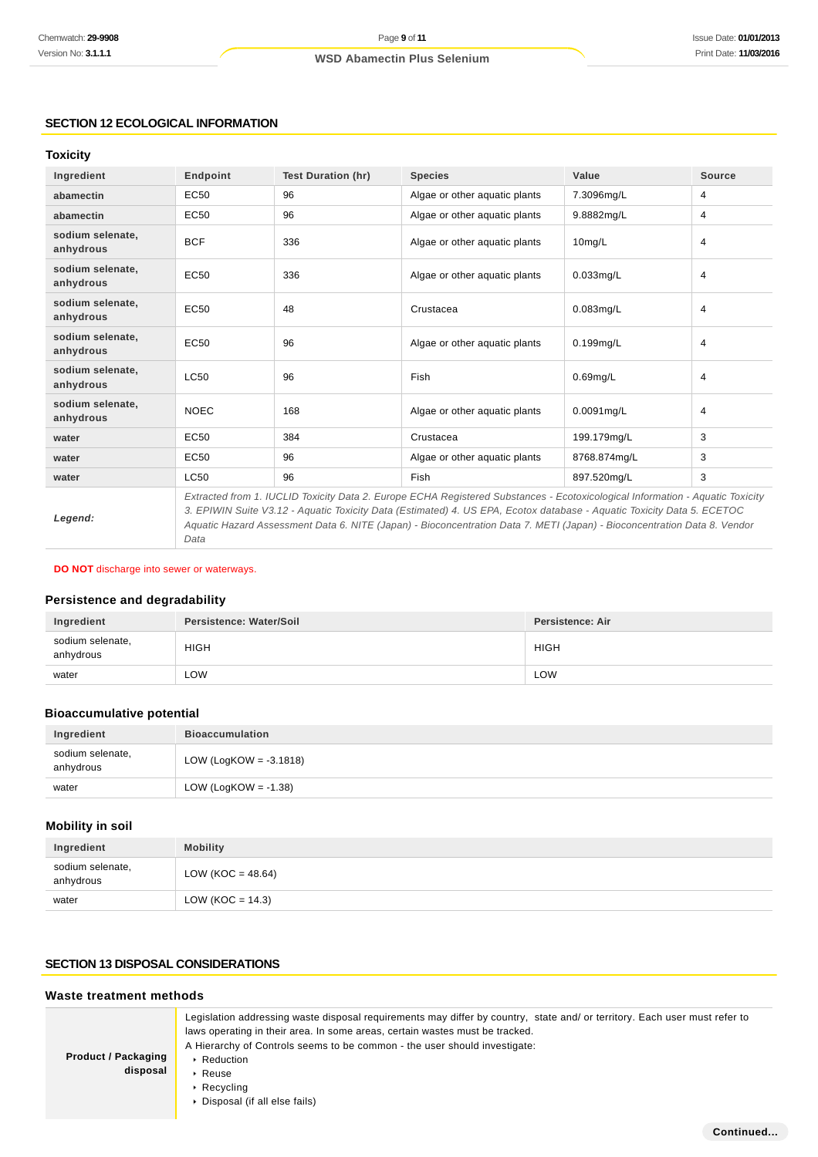**Continued...**

# **SECTION 12 ECOLOGICAL INFORMATION**

#### **Toxicity**

| Ingredient                    | Endpoint                                                                                                                      | <b>Test Duration (hr)</b> | <b>Species</b>                | Value        | <b>Source</b> |
|-------------------------------|-------------------------------------------------------------------------------------------------------------------------------|---------------------------|-------------------------------|--------------|---------------|
| abamectin                     | EC50                                                                                                                          | 96                        | Algae or other aquatic plants | 7.3096mg/L   | 4             |
| abamectin                     | EC50                                                                                                                          | 96                        | Algae or other aquatic plants | 9.8882mg/L   | 4             |
| sodium selenate,<br>anhydrous | <b>BCF</b>                                                                                                                    | 336                       | Algae or other aquatic plants | $10$ mg/L    | 4             |
| sodium selenate.<br>anhydrous | EC50                                                                                                                          | 336                       | Algae or other aquatic plants | $0.033$ mg/L | 4             |
| sodium selenate.<br>anhydrous | EC50                                                                                                                          | 48                        | Crustacea                     | $0.083$ mg/L | 4             |
| sodium selenate.<br>anhydrous | EC50                                                                                                                          | 96                        | Algae or other aquatic plants | $0.199$ mg/L | 4             |
| sodium selenate,<br>anhydrous | LC50                                                                                                                          | 96                        | Fish                          | $0.69$ mg/L  | 4             |
| sodium selenate,<br>anhydrous | <b>NOEC</b>                                                                                                                   | 168                       | Algae or other aquatic plants | 0.0091mg/L   | 4             |
| water                         | EC50                                                                                                                          | 384                       | Crustacea                     | 199.179mg/L  | 3             |
| water                         | EC50                                                                                                                          | 96                        | Algae or other aquatic plants | 8768.874mg/L | 3             |
| water                         | LC50                                                                                                                          | 96                        | Fish                          | 897.520mg/L  | 3             |
|                               | Extracted from 1. IUCLID Toxicity Data 2. Europe ECHA Registered Substances - Ecotoxicological Information - Aquatic Toxicity |                           |                               |              |               |

**Legend:**

3. EPIWIN Suite V3.12 - Aquatic Toxicity Data (Estimated) 4. US EPA, Ecotox database - Aquatic Toxicity Data 5. ECETOC Aquatic Hazard Assessment Data 6. NITE (Japan) - Bioconcentration Data 7. METI (Japan) - Bioconcentration Data 8. Vendor Data

#### **DO NOT** discharge into sewer or waterways.

# **Persistence and degradability**

| Ingredient                    | Persistence: Water/Soil | Persistence: Air |
|-------------------------------|-------------------------|------------------|
| sodium selenate,<br>anhydrous | <b>HIGH</b>             | <b>HIGH</b>      |
| water                         | LOW                     | LOW              |

# **Bioaccumulative potential**

| Ingredient                    | <b>Bioaccumulation</b>    |
|-------------------------------|---------------------------|
| sodium selenate,<br>anhydrous | LOW (LogKOW = $-3.1818$ ) |
| water                         | LOW (LogKOW = $-1.38$ )   |

# **Mobility in soil**

| Ingredient                    | <b>Mobility</b>     |
|-------------------------------|---------------------|
| sodium selenate,<br>anhydrous | LOW (KOC = 48.64)   |
| water                         | LOW (KOC = $14.3$ ) |

# **SECTION 13 DISPOSAL CONSIDERATIONS**

### **Waste treatment methods**

| <b>Product / Packaging</b><br>disposal | Legislation addressing waste disposal requirements may differ by country, state and/ or territory. Each user must refer to<br>laws operating in their area. In some areas, certain wastes must be tracked.<br>A Hierarchy of Controls seems to be common - the user should investigate:<br>$\triangleright$ Reduction<br>$\triangleright$ Reuse<br>$\cdot$ Recycling<br>▶ Disposal (if all else fails) |
|----------------------------------------|--------------------------------------------------------------------------------------------------------------------------------------------------------------------------------------------------------------------------------------------------------------------------------------------------------------------------------------------------------------------------------------------------------|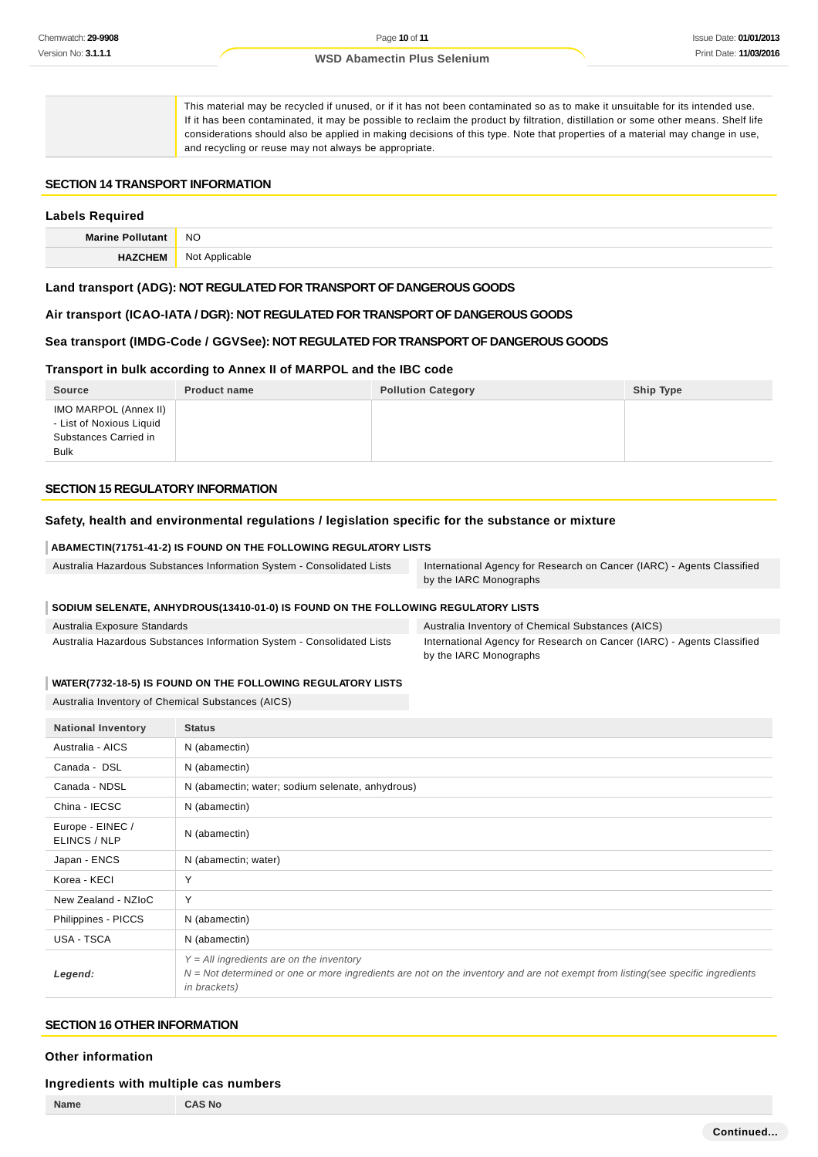This material may be recycled if unused, or if it has not been contaminated so as to make it unsuitable for its intended use. If it has been contaminated, it may be possible to reclaim the product by filtration, distillation or some other means. Shelf life considerations should also be applied in making decisions of this type. Note that properties of a material may change in use, and recycling or reuse may not always be appropriate.

#### **SECTION 14 TRANSPORT INFORMATION**

# **Labels Required Marine Pollutant** NO **HAZCHEM** Not Applicable

#### **Land transport (ADG): NOT REGULATED FOR TRANSPORT OF DANGEROUS GOODS**

**Air transport (ICAO-IATA / DGR): NOT REGULATED FOR TRANSPORT OF DANGEROUS GOODS**

#### **Sea transport (IMDG-Code / GGVSee): NOT REGULATED FOR TRANSPORT OF DANGEROUS GOODS**

#### **Transport in bulk according to Annex II of MARPOL and the IBC code**

| <b>Source</b>                                                                      | <b>Product name</b> | <b>Pollution Category</b> | Ship Type |
|------------------------------------------------------------------------------------|---------------------|---------------------------|-----------|
| IMO MARPOL (Annex II)<br>- List of Noxious Liquid<br>Substances Carried in<br>Bulk |                     |                           |           |

#### **SECTION 15 REGULATORY INFORMATION**

#### **Safety, health and environmental regulations / legislation specific for the substance or mixture**

#### **ABAMECTIN(71751-41-2) IS FOUND ON THE FOLLOWING REGULATORY LISTS**

| Australia Hazardous Substances Information System - Consolidated Lists | International Agency for Research on Cancer (IARC) - Agents Classified |  |
|------------------------------------------------------------------------|------------------------------------------------------------------------|--|
|                                                                        | by the IARC Monographs                                                 |  |

#### **SODIUM SELENATE, ANHYDROUS(13410-01-0) IS FOUND ON THE FOLLOWING REGULATORY LISTS**

| Australia Exposure Standards                                           | Australia Inventory of Chemical Substances (AICS)                      |
|------------------------------------------------------------------------|------------------------------------------------------------------------|
| Australia Hazardous Substances Information System - Consolidated Lists | International Agency for Research on Cancer (IARC) - Agents Classified |
|                                                                        | by the IARC Monographs                                                 |

#### **WATER(7732-18-5) IS FOUND ON THE FOLLOWING REGULATORY LISTS**

Australia Inventory of Chemical Substances (AICS)

| <b>National Inventory</b>        | <b>Status</b>                                                                                                                                                                                   |
|----------------------------------|-------------------------------------------------------------------------------------------------------------------------------------------------------------------------------------------------|
| Australia - AICS                 | N (abamectin)                                                                                                                                                                                   |
| Canada - DSL                     | N (abamectin)                                                                                                                                                                                   |
| Canada - NDSL                    | N (abamectin; water; sodium selenate, anhydrous)                                                                                                                                                |
| China - IECSC                    | N (abamectin)                                                                                                                                                                                   |
| Europe - EINEC /<br>ELINCS / NLP | N (abamectin)                                                                                                                                                                                   |
| Japan - ENCS                     | N (abamectin; water)                                                                                                                                                                            |
| Korea - KECI                     | Υ                                                                                                                                                                                               |
| New Zealand - NZIoC              | Υ                                                                                                                                                                                               |
| Philippines - PICCS              | N (abamectin)                                                                                                                                                                                   |
| USA - TSCA                       | N (abamectin)                                                                                                                                                                                   |
| Legend:                          | $Y = All$ ingredients are on the inventory<br>$N = Not determined$ or one or more ingredients are not on the inventory and are not exempt from listing(see specific ingredients<br>in brackets) |

#### **SECTION 16 OTHER INFORMATION**

#### **Other information**

#### **Ingredients with multiple cas numbers**

**Name CAS No**